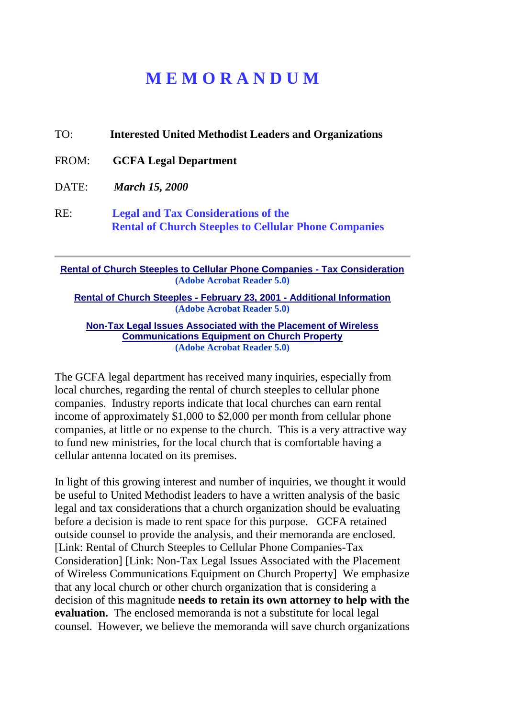## **M E M O R A N D U M**

TO: **Interested United Methodist Leaders and Organizations** FROM: **GCFA Legal Department** DATE: *March 15, 2000* RE: **Legal and Tax Considerations of the Rental of Church Steeples to Cellular Phone Companies**

**[Rental of Church Steeples to Cellular Phone Companies -](http://www.gcfa.org/TaxConsideration.pdf) Tax Consideration (Adobe Acrobat Reader 5.0)**

**Rental of Church Steeples - February 23, 2001 - [Additional Information](http://www.gcfa.org/CellPhoneLetter.pdf)  (Adobe Acrobat Reader 5.0)**

**[Non-Tax Legal Issues Associated with the Placement of Wireless](http://www.gcfa.org/NonTaxLegal.pdf)  [Communications Equipment on Church Property](http://www.gcfa.org/NonTaxLegal.pdf) (Adobe Acrobat Reader 5.0)**

The GCFA legal department has received many inquiries, especially from local churches, regarding the rental of church steeples to cellular phone companies. Industry reports indicate that local churches can earn rental income of approximately \$1,000 to \$2,000 per month from cellular phone companies, at little or no expense to the church. This is a very attractive way to fund new ministries, for the local church that is comfortable having a cellular antenna located on its premises.

In light of this growing interest and number of inquiries, we thought it would be useful to United Methodist leaders to have a written analysis of the basic legal and tax considerations that a church organization should be evaluating before a decision is made to rent space for this purpose. GCFA retained outside counsel to provide the analysis, and their memoranda are enclosed. [Link: Rental of Church Steeples to Cellular Phone Companies-Tax Consideration] [Link: Non-Tax Legal Issues Associated with the Placement of Wireless Communications Equipment on Church Property] We emphasize that any local church or other church organization that is considering a decision of this magnitude **needs to retain its own attorney to help with the evaluation.** The enclosed memoranda is not a substitute for local legal counsel. However, we believe the memoranda will save church organizations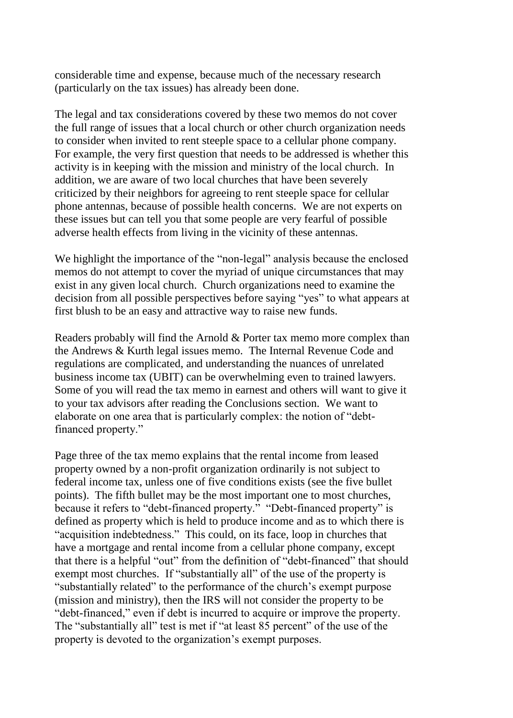considerable time and expense, because much of the necessary research (particularly on the tax issues) has already been done.

The legal and tax considerations covered by these two memos do not cover the full range of issues that a local church or other church organization needs to consider when invited to rent steeple space to a cellular phone company. For example, the very first question that needs to be addressed is whether this activity is in keeping with the mission and ministry of the local church. In addition, we are aware of two local churches that have been severely criticized by their neighbors for agreeing to rent steeple space for cellular phone antennas, because of possible health concerns. We are not experts on these issues but can tell you that some people are very fearful of possible adverse health effects from living in the vicinity of these antennas.

We highlight the importance of the "non-legal" analysis because the enclosed memos do not attempt to cover the myriad of unique circumstances that may exist in any given local church. Church organizations need to examine the decision from all possible perspectives before saying "yes" to what appears at first blush to be an easy and attractive way to raise new funds.

Readers probably will find the Arnold & Porter tax memo more complex than the Andrews & Kurth legal issues memo. The Internal Revenue Code and regulations are complicated, and understanding the nuances of unrelated business income tax (UBIT) can be overwhelming even to trained lawyers. Some of you will read the tax memo in earnest and others will want to give it to your tax advisors after reading the Conclusions section. We want to elaborate on one area that is particularly complex: the notion of "debtfinanced property."

Page three of the tax memo explains that the rental income from leased property owned by a non-profit organization ordinarily is not subject to federal income tax, unless one of five conditions exists (see the five bullet points). The fifth bullet may be the most important one to most churches, because it refers to "debt-financed property." "Debt-financed property" is defined as property which is held to produce income and as to which there is "acquisition indebtedness." This could, on its face, loop in churches that have a mortgage and rental income from a cellular phone company, except that there is a helpful "out" from the definition of "debt-financed" that should exempt most churches. If "substantially all" of the use of the property is "substantially related" to the performance of the church's exempt purpose (mission and ministry), then the IRS will not consider the property to be "debt-financed," even if debt is incurred to acquire or improve the property. The "substantially all" test is met if "at least 85 percent" of the use of the property is devoted to the organization's exempt purposes.